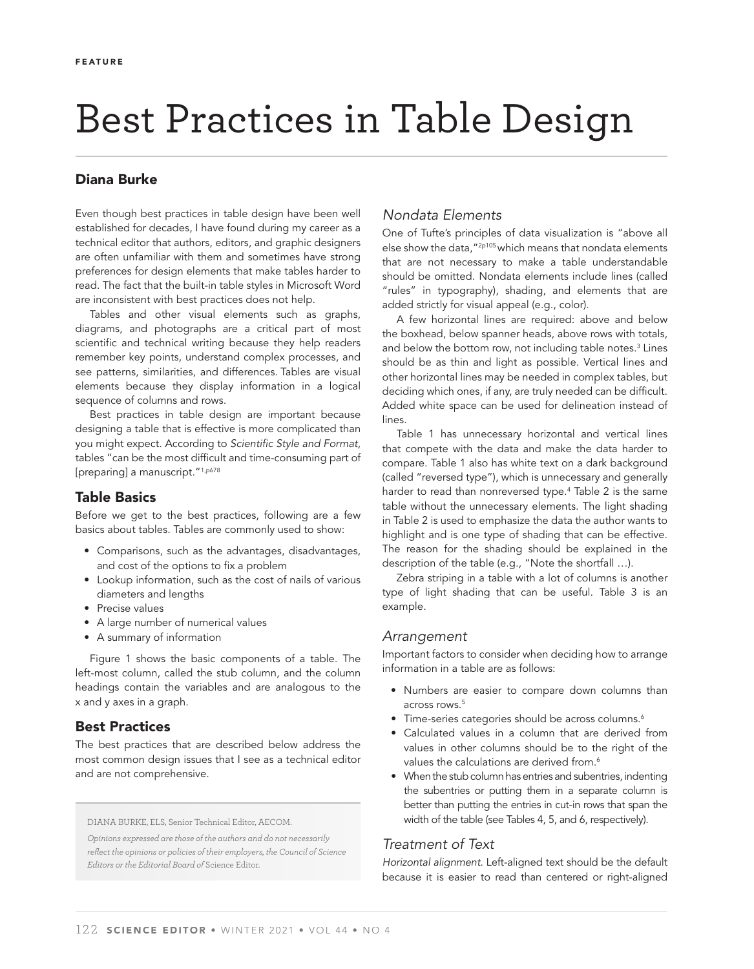# Best Practices in Table Design

# Diana Burke

Even though best practices in table design have been well established for decades, I have found during my career as a technical editor that authors, editors, and graphic designers are often unfamiliar with them and sometimes have strong preferences for design elements that make tables harder to read. The fact that the built-in table styles in Microsoft Word are inconsistent with best practices does not help.

Tables and other visual elements such as graphs, diagrams, and photographs are a critical part of most scientific and technical writing because they help readers remember key points, understand complex processes, and see patterns, similarities, and differences. Tables are visual elements because they display information in a logical sequence of columns and rows.

 Best practices in table design are important because designing a table that is effective is more complicated than you might expect. According to *Scientific Style and Format*, tables "can be the most difficult and time-consuming part of [preparing] a manuscript."<sup>1,p678</sup>

## Table Basics

Before we get to the best practices, following are a few basics about tables. Tables are commonly used to show:

- Comparisons, such as the advantages, disadvantages, and cost of the options to fix a problem
- Lookup information, such as the cost of nails of various diameters and lengths
- Precise values
- A large number of numerical values
- A summary of information

Figure 1 shows the basic components of a table. The left-most column, called the stub column, and the column headings contain the variables and are analogous to the x and y axes in a graph.

## Best Practices

The best practices that are described below address the most common design issues that I see as a technical editor and are not comprehensive.

DIANA BURKE, ELS, Senior Technical Editor, AECOM.

*Opinions expressed are those of the authors and do not necessarily refl ect the opinions or policies of their employers, the Council of Science Editors or the Editorial Board of* Science Editor.

# *Nondata Elements*

One of Tufte's principles of data visualization is "above all else show the data,"2p105 which means that nondata elements that are not necessary to make a table understandable should be omitted. Nondata elements include lines (called "rules" in typography), shading, and elements that are added strictly for visual appeal (e.g., color).

A few horizontal lines are required: above and below the boxhead, below spanner heads, above rows with totals, and below the bottom row, not including table notes. $3$  Lines should be as thin and light as possible. Vertical lines and other horizontal lines may be needed in complex tables, but deciding which ones, if any, are truly needed can be difficult. Added white space can be used for delineation instead of lines.

Table 1 has unnecessary horizontal and vertical lines that compete with the data and make the data harder to compare. Table 1 also has white text on a dark background (called "reversed type"), which is unnecessary and generally harder to read than nonreversed type.4 Table 2 is the same table without the unnecessary elements. The light shading in Table 2 is used to emphasize the data the author wants to highlight and is one type of shading that can be effective. The reason for the shading should be explained in the description of the table (e.g., "Note the shortfall …).

Zebra striping in a table with a lot of columns is another type of light shading that can be useful. Table 3 is an example.

## *A rrangement*

Important factors to consider when deciding how to arrange information in a table are as follows:

- Numbers are easier to compare down columns than across rows.<sup>5</sup>
- Time-series categories should be across columns.<sup>6</sup>
- Calculated values in a column that are derived from values in other columns should be to the right of the values the calculations are derived from.<sup>6</sup>
- When the stub column has entries and subentries, indenting the subentries or putting them in a separate column is better than putting the entries in cut-in rows that span the width of the table (see Tables 4, 5, and 6, respectively).

## *T reatment of Text*

*Horizontal alignment.* Left-aligned text should be the default because it is easier to read than centered or right-aligned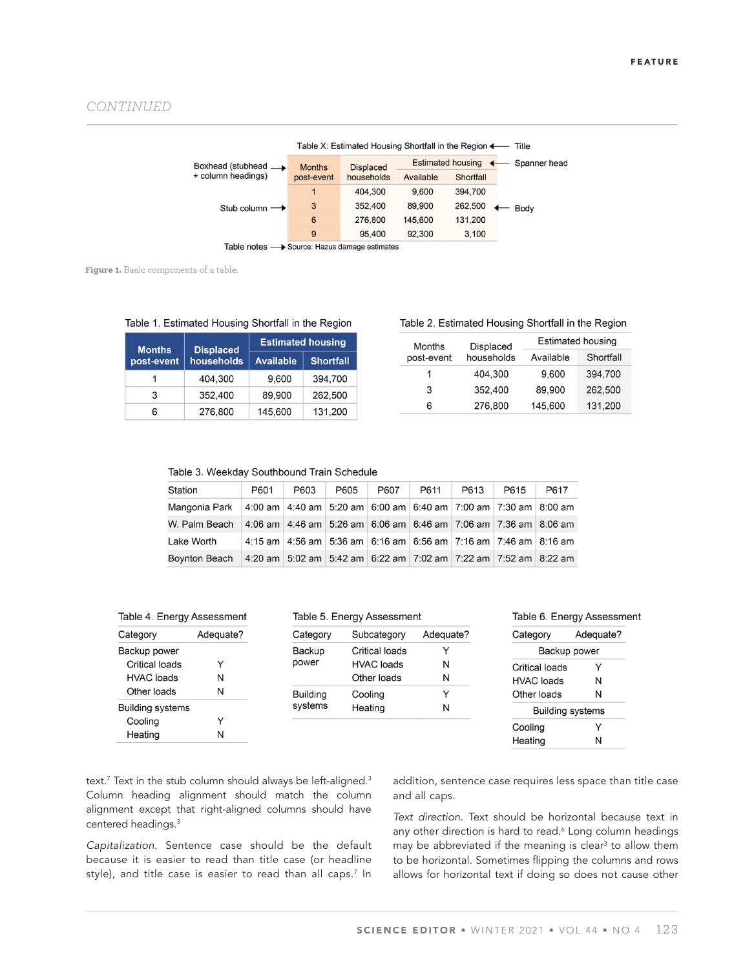|                                              |               | Table X: Estimated Housing Shortfall in the Region $\leftarrow$ Title |           |                          |              |
|----------------------------------------------|---------------|-----------------------------------------------------------------------|-----------|--------------------------|--------------|
| Boxhead (stubhead $\rightharpoonup$          | <b>Months</b> | <b>Displaced</b>                                                      |           | <b>Estimated housing</b> | Spanner head |
| + column headings)                           | post-event    | households                                                            | Available | Shortfall                |              |
|                                              | 1             | 404.300                                                               | 9.600     | 394,700                  |              |
| Stub column $\rightarrow$                    | 3             | 352,400                                                               | 89,900    | 262,500                  | Body         |
|                                              | 6             | 276,800                                                               | 145,600   | 131.200                  |              |
|                                              | 9             | 95,400                                                                | 92.300    | 3,100                    |              |
| Table notes - Source: Hazus damage estimates |               |                                                                       |           |                          |              |

Figure 1. Basic components of a table.

| <b>Months</b> | <b>Displaced</b> | <b>Estimated housing</b> |                  |
|---------------|------------------|--------------------------|------------------|
| post-event    | households       | <b>Available</b>         | <b>Shortfall</b> |
|               | 404.300          | 9.600                    | 394.700          |
| 3             | 352,400          | 89,900                   | 262,500          |
| 6             | 276,800          | 145.600                  | 131,200          |

Table 1. Estimated Housing Shortfall in the Region

| Table 2. Estimated Housing Shortfall in the Region |  |
|----------------------------------------------------|--|
|----------------------------------------------------|--|

| Months     | <b>Displaced</b> | <b>Estimated housing</b> |           |  |
|------------|------------------|--------------------------|-----------|--|
| post-event | households       | Available                | Shortfall |  |
| 1          | 404,300          | 9,600                    | 394,700   |  |
| 3          | 352,400          | 89.900                   | 262,500   |  |
| 6          | 276,800          | 145,600                  | 131,200   |  |

| Station                                                                                       | P601 | P603                                                                          | P605 | P607 | P611 | P613 | P615 | P617 |
|-----------------------------------------------------------------------------------------------|------|-------------------------------------------------------------------------------|------|------|------|------|------|------|
| Mangonia Park   4:00 am   4:40 am   5:20 am   6:00 am   6:40 am   7:00 am   7:30 am   8:00 am |      |                                                                               |      |      |      |      |      |      |
| W. Palm Beach   4:06 am   4:46 am   5:26 am   6:06 am   6:46 am   7:06 am   7:36 am   8:06 am |      |                                                                               |      |      |      |      |      |      |
| Lake Worth                                                                                    |      | 4:15 am   4:56 am   5:36 am   6:16 am   6:56 am   7:16 am   7:46 am   8:16 am |      |      |      |      |      |      |
| Boynton Beach   4:20 am   5:02 am   5:42 am   6:22 am   7:02 am   7:22 am   7:52 am   8:22 am |      |                                                                               |      |      |      |      |      |      |

| Table 4. Energy Assessment |           | Table 5. Ene |
|----------------------------|-----------|--------------|
| Category                   | Adequate? | Category     |
| Backup power               |           | Backup       |
| Critical loads             | v         | power        |
| <b>HVAC</b> loads          | N         |              |

| <b>HVAL IOADS</b>       | IΝ |
|-------------------------|----|
| Other loads             | N  |
| <b>Building systems</b> |    |
| Cooling                 | Y  |
| Heating                 | N  |

|  | Fable 5. Energy Assessment |  |
|--|----------------------------|--|
|  |                            |  |

| Category        | Subcategory       | Adequate? |
|-----------------|-------------------|-----------|
| <b>Backup</b>   | Critical loads    | Y         |
| power           | <b>HVAC</b> loads | N         |
|                 | Other loads       | N         |
| <b>Building</b> | Cooling           | Y         |
| systems         | Heating           | N         |

#### Table 6. Energy Assessment

| Category                | Adequate? |  |
|-------------------------|-----------|--|
| Backup power            |           |  |
| Critical loads          | Y         |  |
| HVAC loads              | N         |  |
| Other loads             | N         |  |
| <b>Building systems</b> |           |  |
| Coolina                 | Y         |  |
| Heating                 | N         |  |
|                         |           |  |

text. $^7$  Text in the stub column should always be left-aligned. $^3$ Column heading alignment should match the column alignment except that right-aligned columns should have centered headings.3

*Capitalization.* Sentence case should be the default because it is easier to read than title case (or headline style), and title case is easier to read than all caps.<sup>7</sup> In addition, sentence case requires less space than title case and all caps.

*Text direction.* Text should be horizontal because text in any other direction is hard to read.6 Long column headings may be abbreviated if the meaning is clear<sup>3</sup> to allow them to be horizontal. Sometimes flipping the columns and rows allows for horizontal text if doing so does not cause other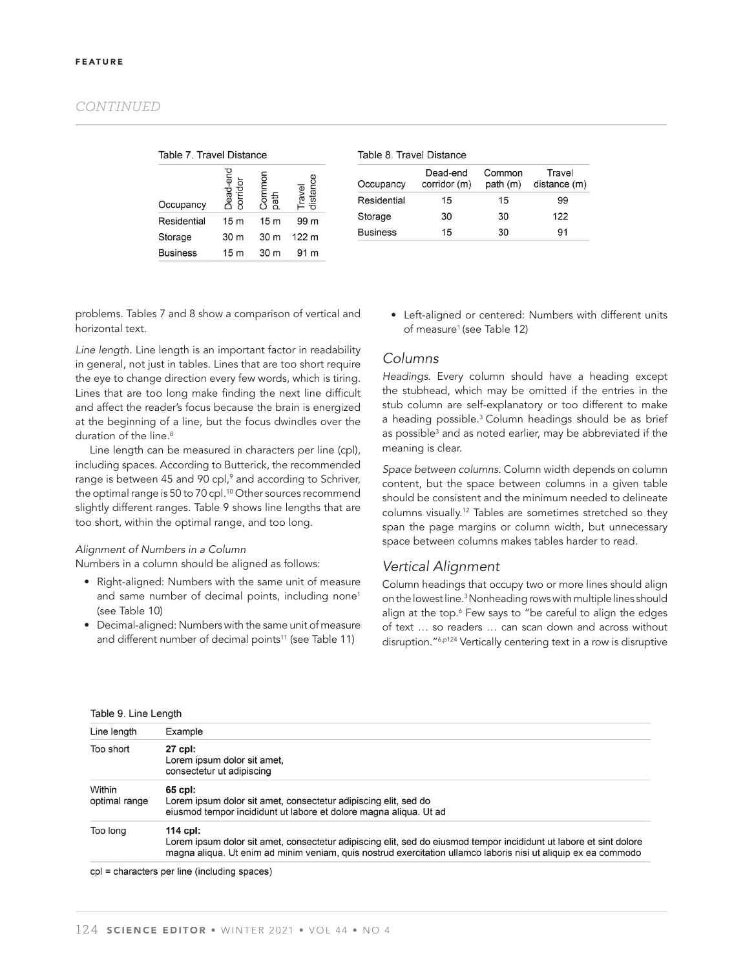### *CONTINUED*

|  | Table 7. Travel Distance |
|--|--------------------------|
|  |                          |

| Occupancy       | ã<br>ਨ<br>Φ<br>ה<br>פ | nouu<br>oath    | $\bar{\bar{\bar{\sigma}}}$<br><u>is</u> |
|-----------------|-----------------------|-----------------|-----------------------------------------|
| Residential     | 15 <sub>m</sub>       | 15 <sub>m</sub> | 99 m                                    |
| Storage         | 30 m                  | 30 m            | 122 m                                   |
| <b>Business</b> | 15 <sub>m</sub>       | 30 m            |                                         |

| Occupancy       | Dead-end<br>corridor (m) | Common<br>path(m) | Travel<br>distance (m) |
|-----------------|--------------------------|-------------------|------------------------|
| Residential     | 15                       | 15                | 99                     |
| Storage         | 30                       | 30                | 122                    |
| <b>Business</b> | 15                       | 30                | 91                     |

problems. Tables 7 and 8 show a comparison of vertical and horizontal text.

*Line length.* Line length is an important factor in readability in general, not just in tables. Lines that are too short require the eye to change direction every few words, which is tiring. Lines that are too long make finding the next line difficult and affect the reader's focus because the brain is energized at the beginning of a line, but the focus dwindles over the duration of the line.<sup>8</sup>

Line length can be measured in characters per line (cpl), including spaces. According to Butterick, the recommended range is between 45 and 90 cpl,<sup>9</sup> and according to Schriver, the optimal range is 50 to 70 cpl.<sup>10</sup> Other sources recommend slightly different ranges. Table 9 shows line lengths that are too short, within the optimal range, and too long.

#### *Al ignment of Numbers in a Column*

Numbers in a column should be aligned as follows:

- Right-aligned: Numbers with the same unit of measure and same number of decimal points, including none<sup>1</sup> (see Table 10)
- Decimal-aligned: Numbers with the same unit of measure and different number of decimal points<sup>11</sup> (see Table 11)

• Left-aligned or centered: Numbers with different units of measure<sup>1</sup> (see Table 12)

### *C olumns*

*Headings.* Every column should have a heading except the stubhead, which may be omitted if the entries in the stub column are self-explanatory or too different to make a heading possible.3 Column headings should be as brief as possible<sup>3</sup> and as noted earlier, may be abbreviated if the meaning is clear.

*Space between columns.* Column width depends on column content, but the space between columns in a given table should be consistent and the minimum needed to delineate columns visually.12 Tables are sometimes stretched so they span the page margins or column width, but unnecessary space between columns makes tables harder to read.

#### *Vertical Alignment*

Column headings that occupy two or more lines should align on the lowest line.3 Nonheading rows with multiple lines should align at the top.6 Few says to "be careful to align the edges of text … so readers … can scan down and across without disruption."6,p124 Vertically centering text in a row is disruptive

| Table 9. Line Length    |                                                                                                                                                                                                                                                  |  |
|-------------------------|--------------------------------------------------------------------------------------------------------------------------------------------------------------------------------------------------------------------------------------------------|--|
| Line length             | Example                                                                                                                                                                                                                                          |  |
| Too short               | 27 cpl:<br>Lorem ipsum dolor sit amet,<br>consectetur ut adipiscing                                                                                                                                                                              |  |
| Within<br>optimal range | 65 cpl:<br>Lorem ipsum dolor sit amet, consectetur adipiscing elit, sed do<br>eiusmod tempor incididunt ut labore et dolore magna aliqua. Ut ad                                                                                                  |  |
| Too long                | 114 cpl:<br>Lorem ipsum dolor sit amet, consectetur adipiscing elit, sed do eiusmod tempor incididunt ut labore et sint dolore<br>magna aligua. Ut enim ad minim veniam, quis nostrud exercitation ullamco laboris nisi ut aliguip ex ea commodo |  |

cpl = characters per line (including spaces)

#### Table 8 Travel Distance